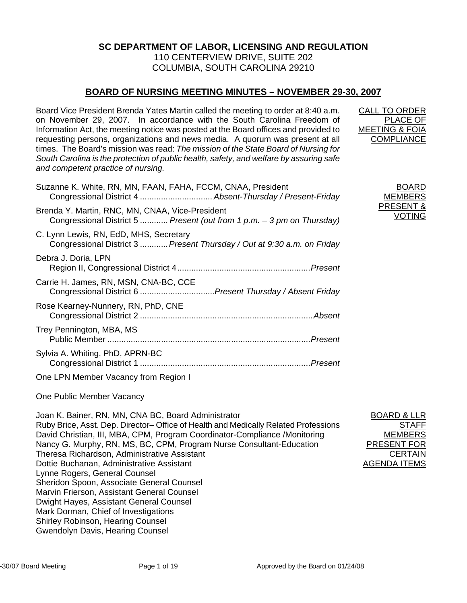# **SC DEPARTMENT OF LABOR, LICENSING AND REGULATION**

110 CENTERVIEW DRIVE, SUITE 202 COLUMBIA, SOUTH CAROLINA 29210

# **BOARD OF NURSING MEETING MINUTES – NOVEMBER 29-30, 2007**

Board Vice President Brenda Yates Martin called the meeting to order at 8:40 a.m. on November 29, 2007. In accordance with the South Carolina Freedom of Information Act, the meeting notice was posted at the Board offices and provided to requesting persons, organizations and news media. A quorum was present at all times. The Board's mission was read: *The mission of the State Board of Nursing for South Carolina is the protection of public health, safety, and welfare by assuring safe and competent practice of nursing.* 

One LPN Member Vacancy from Region I

One Public Member Vacancy

Joan K. Bainer, RN, MN, CNA BC, Board Administrator Ruby Brice, Asst. Dep. Director– Office of Health and Medically Related Professions David Christian, III, MBA, CPM, Program Coordinator-Compliance /Monitoring Nancy G. Murphy, RN, MS, BC, CPM, Program Nurse Consultant-Education Theresa Richardson, Administrative Assistant Dottie Buchanan, Administrative Assistant Lynne Rogers, General Counsel Sheridon Spoon, Associate General Counsel Marvin Frierson, Assistant General Counsel Dwight Hayes, Assistant General Counsel Mark Dorman, Chief of Investigations Shirley Robinson, Hearing Counsel Gwendolyn Davis, Hearing Counsel

| BOARD & LLR         |
|---------------------|
| <b>STAFF</b>        |
| <b>MEMBERS</b>      |
| <b>PRESENT FOR</b>  |
| CERTAIN             |
| <b>AGENDA ITEMS</b> |

CALL TO ORDER

MEETING & FOIA **COMPLIANCE** 

PLACE OF

BOARD MEMBERS PRESENT & VOTING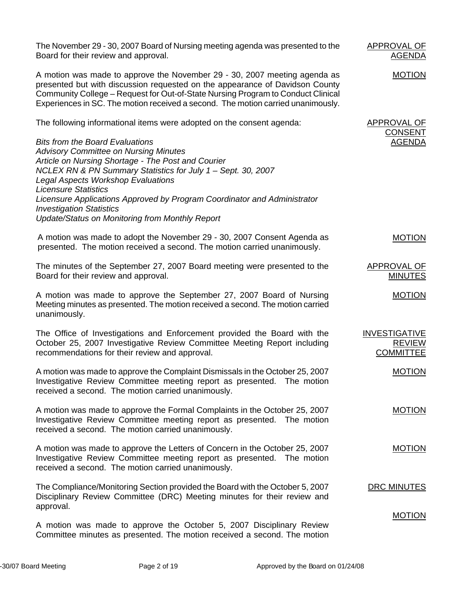The November 29 - 30, 2007 Board of Nursing meeting agenda was presented to the Board for their review and approval. A motion was made to approve the November 29 - 30, 2007 meeting agenda as presented but with discussion requested on the appearance of Davidson County Community College – Request for Out-of-State Nursing Program to Conduct Clinical Experiences in SC. The motion received a second. The motion carried unanimously. APPROVAL OF AGENDA MOTION The following informational items were adopted on the consent agenda: *Bits from the Board Evaluations Advisory Committee on Nursing Minutes Article on Nursing Shortage - The Post and Courier NCLEX RN & PN Summary Statistics for July 1 – Sept. 30, 2007 Legal Aspects Workshop Evaluations Licensure Statistics Licensure Applications Approved by Program Coordinator and Administrator Investigation Statistics Update/Status on Monitoring from Monthly Report* A motion was made to adopt the November 29 - 30, 2007 Consent Agenda as presented. The motion received a second. The motion carried unanimously. APPROVAL OF CONSENT AGENDA MOTION The minutes of the September 27, 2007 Board meeting were presented to the Board for their review and approval. A motion was made to approve the September 27, 2007 Board of Nursing Meeting minutes as presented. The motion received a second. The motion carried unanimously. APPROVAL OF MINUTES MOTION The Office of Investigations and Enforcement provided the Board with the October 25, 2007 Investigative Review Committee Meeting Report including recommendations for their review and approval. A motion was made to approve the Complaint Dismissals in the October 25, 2007 Investigative Review Committee meeting report as presented. The motion received a second. The motion carried unanimously. A motion was made to approve the Formal Complaints in the October 25, 2007 Investigative Review Committee meeting report as presented. The motion received a second. The motion carried unanimously. A motion was made to approve the Letters of Concern in the October 25, 2007 Investigative Review Committee meeting report as presented. The motion received a second. The motion carried unanimously. INVESTIGATIVE REVIEW **COMMITTEE** MOTION MOTION MOTION The Compliance/Monitoring Section provided the Board with the October 5, 2007 Disciplinary Review Committee (DRC) Meeting minutes for their review and approval. A motion was made to approve the October 5, 2007 Disciplinary Review Committee minutes as presented. The motion received a second. The motion DRC MINUTES MOTION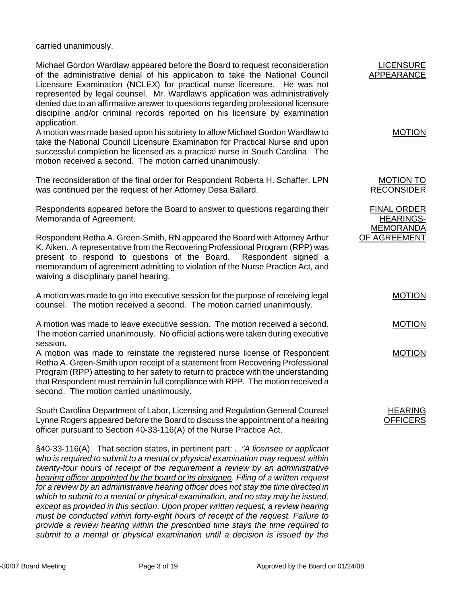carried unanimously.

Michael Gordon Wardlaw appeared before the Board to request reconsideration of the administrative denial of his application to take the National Council Licensure Examination (NCLEX) for practical nurse licensure. He was not represented by legal counsel. Mr. Wardlaw's application was administratively denied due to an affirmative answer to questions regarding professional licensure discipline and/or criminal records reported on his licensure by examination application.

A motion was made based upon his sobriety to allow Michael Gordon Wardlaw to take the National Council Licensure Examination for Practical Nurse and upon successful completion be licensed as a practical nurse in South Carolina. The motion received a second. The motion carried unanimously.

The reconsideration of the final order for Respondent Roberta H. Schaffer, LPN was continued per the request of her Attorney Desa Ballard.

Respondents appeared before the Board to answer to questions regarding their Memoranda of Agreement.

Respondent Retha A. Green-Smith, RN appeared the Board with Attorney Arthur K. Aiken. A representative from the Recovering Professional Program (RPP) was present to respond to questions of the Board. Respondent signed a memorandum of agreement admitting to violation of the Nurse Practice Act, and waiving a disciplinary panel hearing.

|  | A motion was made to go into executive session for the purpose of receiving legal |
|--|-----------------------------------------------------------------------------------|
|  | counsel. The motion received a second. The motion carried unanimously.            |

A motion was made to leave executive session. The motion received a second. The motion carried unanimously. No official actions were taken during executive session.

A motion was made to reinstate the registered nurse license of Respondent Retha A. Green-Smith upon receipt of a statement from Recovering Professional Program (RPP) attesting to her safety to return to practice with the understanding that Respondent must remain in full compliance with RPP. The motion received a second. The motion carried unanimously.

South Carolina Department of Labor, Licensing and Regulation General Counsel Lynne Rogers appeared before the Board to discuss the appointment of a hearing officer pursuant to Section 40-33-116(A) of the Nurse Practice Act.

§40-33-116(A). That section states, in pertinent part: *..."A licensee or applicant who is required to submit to a mental or physical examination may request within twenty-four hours of receipt of the requirement a review by an administrative hearing officer appointed by the board or its designee. Filing of a written request for a review by an administrative hearing officer does not stay the time directed in which to submit to a mental or physical examination, and no stay may be issued, except as provided in this section. Upon proper written request, a review hearing must be conducted within forty-eight hours of receipt of the request. Failure to provide a review hearing within the prescribed time stays the time required to submit to a mental or physical examination until a decision is issued by the* 

LICENSURE APPEARANCE

MOTION

MOTION TO RECONSIDER

FINAL ORDER HEARINGS-MEMORANDA OF AGREEMENT

MOTION

MOTION

MOTION

HEARING OFFICERS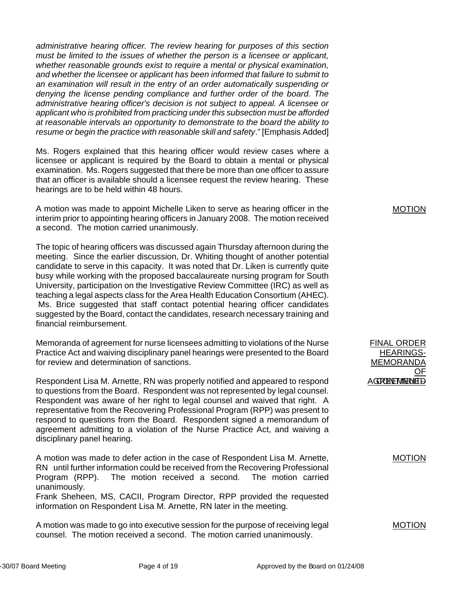*administrative hearing officer. The review hearing for purposes of this section must be limited to the issues of whether the person is a licensee or applicant, whether reasonable grounds exist to require a mental or physical examination, and whether the licensee or applicant has been informed that failure to submit to an examination will result in the entry of an order automatically suspending or denying the license pending compliance and further order of the board. The administrative hearing officer's decision is not subject to appeal. A licensee or applicant who is prohibited from practicing under this subsection must be afforded at reasonable intervals an opportunity to demonstrate to the board the ability to resume or begin the practice with reasonable skill and safety*." [Emphasis Added]

Ms. Rogers explained that this hearing officer would review cases where a licensee or applicant is required by the Board to obtain a mental or physical examination. Ms. Rogers suggested that there be more than one officer to assure that an officer is available should a licensee request the review hearing. These hearings are to be held within 48 hours.

A motion was made to appoint Michelle Liken to serve as hearing officer in the interim prior to appointing hearing officers in January 2008. The motion received a second. The motion carried unanimously.

The topic of hearing officers was discussed again Thursday afternoon during the meeting. Since the earlier discussion, Dr. Whiting thought of another potential candidate to serve in this capacity. It was noted that Dr. Liken is currently quite busy while working with the proposed baccalaureate nursing program for South University, participation on the Investigative Review Committee (IRC) as well as teaching a legal aspects class for the Area Health Education Consortium (AHEC). Ms. Brice suggested that staff contact potential hearing officer candidates suggested by the Board, contact the candidates, research necessary training and financial reimbursement.

Memoranda of agreement for nurse licensees admitting to violations of the Nurse Practice Act and waiving disciplinary panel hearings were presented to the Board for review and determination of sanctions.

Respondent Lisa M. Arnette, RN was properly notified and appeared to respond to questions from the Board. Respondent was not represented by legal counsel. Respondent was aware of her right to legal counsel and waived that right. A representative from the Recovering Professional Program (RPP) was present to respond to questions from the Board. Respondent signed a memorandum of agreement admitting to a violation of the Nurse Practice Act, and waiving a disciplinary panel hearing.

A motion was made to defer action in the case of Respondent Lisa M. Arnette, RN until further information could be received from the Recovering Professional Program (RPP). The motion received a second. The motion carried unanimously.

Frank Sheheen, MS, CACII, Program Director, RPP provided the requested information on Respondent Lisa M. Arnette, RN later in the meeting.

A motion was made to go into executive session for the purpose of receiving legal counsel. The motion received a second. The motion carried unanimously.

MOTION

FINAL ORDER HEARINGS-MEMORANDA OF **AGREEMENTED** 

MOTION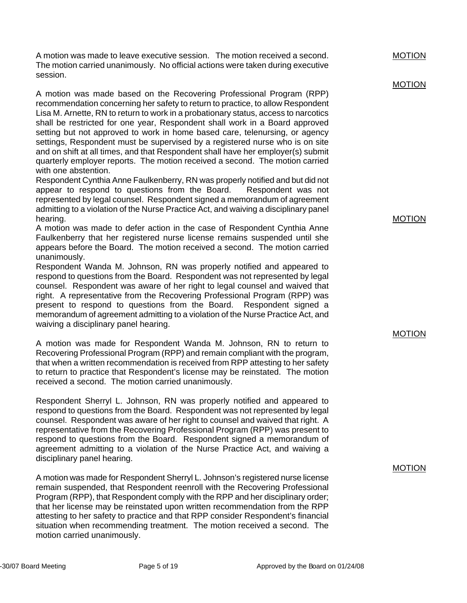A motion was made to leave executive session. The motion received a second. The motion carried unanimously. No official actions were taken during executive session.

A motion was made based on the Recovering Professional Program (RPP) recommendation concerning her safety to return to practice, to allow Respondent Lisa M. Arnette, RN to return to work in a probationary status, access to narcotics shall be restricted for one year, Respondent shall work in a Board approved setting but not approved to work in home based care, telenursing, or agency settings, Respondent must be supervised by a registered nurse who is on site and on shift at all times, and that Respondent shall have her employer(s) submit quarterly employer reports. The motion received a second. The motion carried with one abstention.

Respondent Cynthia Anne Faulkenberry, RN was properly notified and but did not appear to respond to questions from the Board. Respondent was not represented by legal counsel. Respondent signed a memorandum of agreement admitting to a violation of the Nurse Practice Act, and waiving a disciplinary panel hearing.

A motion was made to defer action in the case of Respondent Cynthia Anne Faulkenberry that her registered nurse license remains suspended until she appears before the Board. The motion received a second. The motion carried unanimously.

Respondent Wanda M. Johnson, RN was properly notified and appeared to respond to questions from the Board. Respondent was not represented by legal counsel. Respondent was aware of her right to legal counsel and waived that right. A representative from the Recovering Professional Program (RPP) was present to respond to questions from the Board. Respondent signed a memorandum of agreement admitting to a violation of the Nurse Practice Act, and waiving a disciplinary panel hearing.

A motion was made for Respondent Wanda M. Johnson, RN to return to Recovering Professional Program (RPP) and remain compliant with the program, that when a written recommendation is received from RPP attesting to her safety to return to practice that Respondent's license may be reinstated. The motion received a second. The motion carried unanimously.

Respondent Sherryl L. Johnson, RN was properly notified and appeared to respond to questions from the Board. Respondent was not represented by legal counsel. Respondent was aware of her right to counsel and waived that right. A representative from the Recovering Professional Program (RPP) was present to respond to questions from the Board. Respondent signed a memorandum of agreement admitting to a violation of the Nurse Practice Act, and waiving a disciplinary panel hearing.

A motion was made for Respondent Sherryl L. Johnson's registered nurse license remain suspended, that Respondent reenroll with the Recovering Professional Program (RPP), that Respondent comply with the RPP and her disciplinary order; that her license may be reinstated upon written recommendation from the RPP attesting to her safety to practice and that RPP consider Respondent's financial situation when recommending treatment. The motion received a second. The motion carried unanimously.

MOTION

MOTION

MOTION

MOTION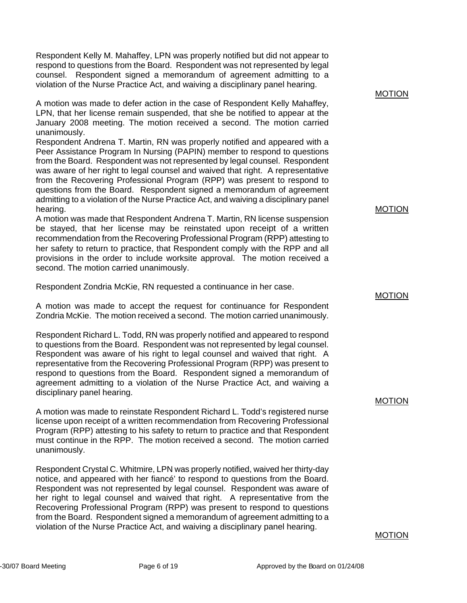Respondent Kelly M. Mahaffey, LPN was properly notified but did not appear to respond to questions from the Board. Respondent was not represented by legal counsel. Respondent signed a memorandum of agreement admitting to a violation of the Nurse Practice Act, and waiving a disciplinary panel hearing.

A motion was made to defer action in the case of Respondent Kelly Mahaffey, LPN, that her license remain suspended, that she be notified to appear at the January 2008 meeting. The motion received a second. The motion carried unanimously.

Respondent Andrena T. Martin, RN was properly notified and appeared with a Peer Assistance Program In Nursing (PAPIN) member to respond to questions from the Board. Respondent was not represented by legal counsel. Respondent was aware of her right to legal counsel and waived that right. A representative from the Recovering Professional Program (RPP) was present to respond to questions from the Board. Respondent signed a memorandum of agreement admitting to a violation of the Nurse Practice Act, and waiving a disciplinary panel hearing.

A motion was made that Respondent Andrena T. Martin, RN license suspension be stayed, that her license may be reinstated upon receipt of a written recommendation from the Recovering Professional Program (RPP) attesting to her safety to return to practice, that Respondent comply with the RPP and all provisions in the order to include worksite approval. The motion received a second. The motion carried unanimously.

Respondent Zondria McKie, RN requested a continuance in her case.

A motion was made to accept the request for continuance for Respondent Zondria McKie. The motion received a second. The motion carried unanimously.

Respondent Richard L. Todd, RN was properly notified and appeared to respond to questions from the Board. Respondent was not represented by legal counsel. Respondent was aware of his right to legal counsel and waived that right. A representative from the Recovering Professional Program (RPP) was present to respond to questions from the Board. Respondent signed a memorandum of agreement admitting to a violation of the Nurse Practice Act, and waiving a disciplinary panel hearing.

A motion was made to reinstate Respondent Richard L. Todd's registered nurse license upon receipt of a written recommendation from Recovering Professional Program (RPP) attesting to his safety to return to practice and that Respondent must continue in the RPP. The motion received a second. The motion carried unanimously.

Respondent Crystal C. Whitmire, LPN was properly notified, waived her thirty-day notice, and appeared with her fiancé' to respond to questions from the Board. Respondent was not represented by legal counsel. Respondent was aware of her right to legal counsel and waived that right. A representative from the Recovering Professional Program (RPP) was present to respond to questions from the Board. Respondent signed a memorandum of agreement admitting to a violation of the Nurse Practice Act, and waiving a disciplinary panel hearing.

MOTION

MOTION

MOTION

MOTION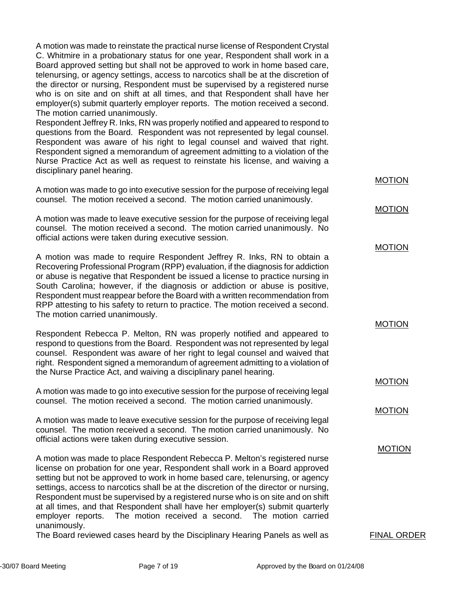A motion was made to reinstate the practical nurse license of Respondent Crystal C. Whitmire in a probationary status for one year, Respondent shall work in a Board approved setting but shall not be approved to work in home based care, telenursing, or agency settings, access to narcotics shall be at the discretion of the director or nursing, Respondent must be supervised by a registered nurse who is on site and on shift at all times, and that Respondent shall have her employer(s) submit quarterly employer reports. The motion received a second. The motion carried unanimously. Respondent Jeffrey R. Inks, RN was properly notified and appeared to respond to

questions from the Board. Respondent was not represented by legal counsel. Respondent was aware of his right to legal counsel and waived that right. Respondent signed a memorandum of agreement admitting to a violation of the Nurse Practice Act as well as request to reinstate his license, and waiving a disciplinary panel hearing.

A motion was made to go into executive session for the purpose of receiving legal counsel. The motion received a second. The motion carried unanimously.

A motion was made to leave executive session for the purpose of receiving legal counsel. The motion received a second. The motion carried unanimously. No official actions were taken during executive session.

A motion was made to require Respondent Jeffrey R. Inks, RN to obtain a Recovering Professional Program (RPP) evaluation, if the diagnosis for addiction or abuse is negative that Respondent be issued a license to practice nursing in South Carolina; however, if the diagnosis or addiction or abuse is positive, Respondent must reappear before the Board with a written recommendation from RPP attesting to his safety to return to practice. The motion received a second. The motion carried unanimously.

Respondent Rebecca P. Melton, RN was properly notified and appeared to respond to questions from the Board. Respondent was not represented by legal counsel. Respondent was aware of her right to legal counsel and waived that right. Respondent signed a memorandum of agreement admitting to a violation of the Nurse Practice Act, and waiving a disciplinary panel hearing.

A motion was made to go into executive session for the purpose of receiving legal counsel. The motion received a second. The motion carried unanimously.

A motion was made to leave executive session for the purpose of receiving legal counsel. The motion received a second. The motion carried unanimously. No official actions were taken during executive session.

A motion was made to place Respondent Rebecca P. Melton's registered nurse license on probation for one year, Respondent shall work in a Board approved setting but not be approved to work in home based care, telenursing, or agency settings, access to narcotics shall be at the discretion of the director or nursing, Respondent must be supervised by a registered nurse who is on site and on shift at all times, and that Respondent shall have her employer(s) submit quarterly employer reports. The motion received a second. The motion carried unanimously.

The Board reviewed cases heard by the Disciplinary Hearing Panels as well as FINAL ORDER

MOTION

MOTION

MOTION

MOTION

MOTION

MOTION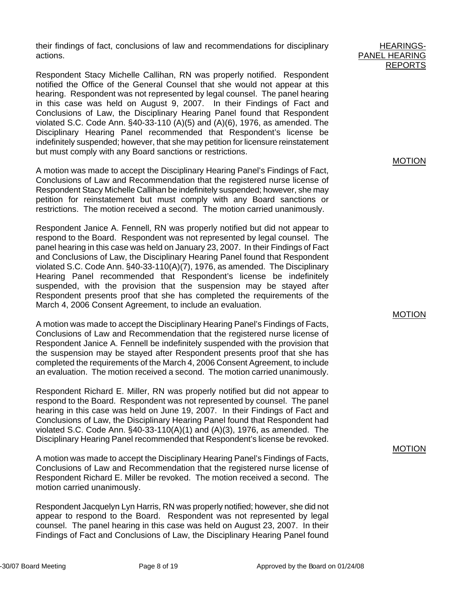their findings of fact, conclusions of law and recommendations for disciplinary actions.

Respondent Stacy Michelle Callihan, RN was properly notified. Respondent notified the Office of the General Counsel that she would not appear at this hearing. Respondent was not represented by legal counsel. The panel hearing in this case was held on August 9, 2007. In their Findings of Fact and Conclusions of Law, the Disciplinary Hearing Panel found that Respondent violated S.C. Code Ann. §40-33-110 (A)(5) and (A)(6), 1976, as amended. The Disciplinary Hearing Panel recommended that Respondent's license be indefinitely suspended; however, that she may petition for licensure reinstatement but must comply with any Board sanctions or restrictions.

A motion was made to accept the Disciplinary Hearing Panel's Findings of Fact, Conclusions of Law and Recommendation that the registered nurse license of Respondent Stacy Michelle Callihan be indefinitely suspended; however, she may petition for reinstatement but must comply with any Board sanctions or restrictions. The motion received a second. The motion carried unanimously.

Respondent Janice A. Fennell, RN was properly notified but did not appear to respond to the Board. Respondent was not represented by legal counsel. The panel hearing in this case was held on January 23, 2007. In their Findings of Fact and Conclusions of Law, the Disciplinary Hearing Panel found that Respondent violated S.C. Code Ann. §40-33-110(A)(7), 1976, as amended. The Disciplinary Hearing Panel recommended that Respondent's license be indefinitely suspended, with the provision that the suspension may be stayed after Respondent presents proof that she has completed the requirements of the March 4, 2006 Consent Agreement, to include an evaluation.

A motion was made to accept the Disciplinary Hearing Panel's Findings of Facts, Conclusions of Law and Recommendation that the registered nurse license of Respondent Janice A. Fennell be indefinitely suspended with the provision that the suspension may be stayed after Respondent presents proof that she has completed the requirements of the March 4, 2006 Consent Agreement, to include an evaluation. The motion received a second. The motion carried unanimously.

Respondent Richard E. Miller, RN was properly notified but did not appear to respond to the Board. Respondent was not represented by counsel. The panel hearing in this case was held on June 19, 2007. In their Findings of Fact and Conclusions of Law, the Disciplinary Hearing Panel found that Respondent had violated S.C. Code Ann. §40-33-110(A)(1) and (A)(3), 1976, as amended. The Disciplinary Hearing Panel recommended that Respondent's license be revoked.

A motion was made to accept the Disciplinary Hearing Panel's Findings of Facts, Conclusions of Law and Recommendation that the registered nurse license of Respondent Richard E. Miller be revoked. The motion received a second. The motion carried unanimously.

Respondent Jacquelyn Lyn Harris, RN was properly notified; however, she did not appear to respond to the Board. Respondent was not represented by legal counsel. The panel hearing in this case was held on August 23, 2007. In their Findings of Fact and Conclusions of Law, the Disciplinary Hearing Panel found

#### **HEARINGS** PANEL HEARING REPORTS

# MOTION

# MOTION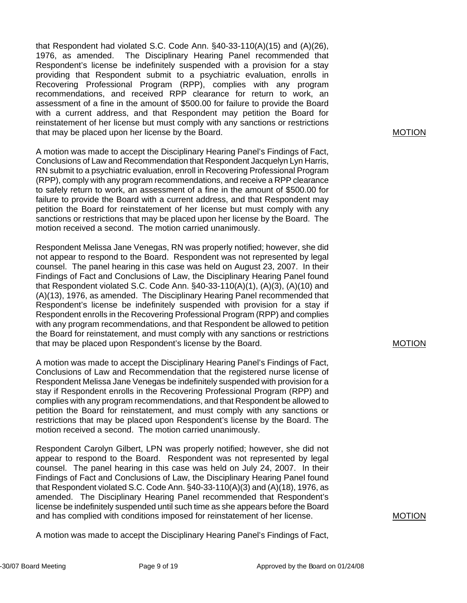that Respondent had violated S.C. Code Ann. §40-33-110(A)(15) and (A)(26), 1976, as amended. The Disciplinary Hearing Panel recommended that Respondent's license be indefinitely suspended with a provision for a stay providing that Respondent submit to a psychiatric evaluation, enrolls in Recovering Professional Program (RPP), complies with any program recommendations, and received RPP clearance for return to work, an assessment of a fine in the amount of \$500.00 for failure to provide the Board with a current address, and that Respondent may petition the Board for reinstatement of her license but must comply with any sanctions or restrictions that may be placed upon her license by the Board.

A motion was made to accept the Disciplinary Hearing Panel's Findings of Fact, Conclusions of Law and Recommendation that Respondent Jacquelyn Lyn Harris, RN submit to a psychiatric evaluation, enroll in Recovering Professional Program (RPP), comply with any program recommendations, and receive a RPP clearance to safely return to work, an assessment of a fine in the amount of \$500.00 for failure to provide the Board with a current address, and that Respondent may petition the Board for reinstatement of her license but must comply with any sanctions or restrictions that may be placed upon her license by the Board. The motion received a second. The motion carried unanimously.

Respondent Melissa Jane Venegas, RN was properly notified; however, she did not appear to respond to the Board. Respondent was not represented by legal counsel. The panel hearing in this case was held on August 23, 2007. In their Findings of Fact and Conclusions of Law, the Disciplinary Hearing Panel found that Respondent violated S.C. Code Ann. §40-33-110(A)(1), (A)(3), (A)(10) and (A)(13), 1976, as amended. The Disciplinary Hearing Panel recommended that Respondent's license be indefinitely suspended with provision for a stay if Respondent enrolls in the Recovering Professional Program (RPP) and complies with any program recommendations, and that Respondent be allowed to petition the Board for reinstatement, and must comply with any sanctions or restrictions that may be placed upon Respondent's license by the Board.

A motion was made to accept the Disciplinary Hearing Panel's Findings of Fact, Conclusions of Law and Recommendation that the registered nurse license of Respondent Melissa Jane Venegas be indefinitely suspended with provision for a stay if Respondent enrolls in the Recovering Professional Program (RPP) and complies with any program recommendations, and that Respondent be allowed to petition the Board for reinstatement, and must comply with any sanctions or restrictions that may be placed upon Respondent's license by the Board. The motion received a second. The motion carried unanimously.

Respondent Carolyn Gilbert, LPN was properly notified; however, she did not appear to respond to the Board. Respondent was not represented by legal counsel. The panel hearing in this case was held on July 24, 2007. In their Findings of Fact and Conclusions of Law, the Disciplinary Hearing Panel found that Respondent violated S.C. Code Ann. §40-33-110(A)(3) and (A)(18), 1976, as amended. The Disciplinary Hearing Panel recommended that Respondent's license be indefinitely suspended until such time as she appears before the Board and has complied with conditions imposed for reinstatement of her license.

A motion was made to accept the Disciplinary Hearing Panel's Findings of Fact,

# MOTION

# MOTION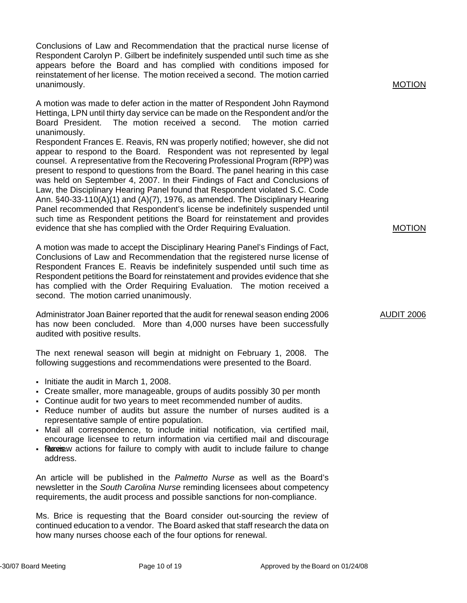Conclusions of Law and Recommendation that the practical nurse license of Respondent Carolyn P. Gilbert be indefinitely suspended until such time as she appears before the Board and has complied with conditions imposed for reinstatement of her license. The motion received a second. The motion carried unanimously.

A motion was made to defer action in the matter of Respondent John Raymond Hettinga, LPN until thirty day service can be made on the Respondent and/or the Board President. The motion received a second. The motion carried unanimously.

Respondent Frances E. Reavis, RN was properly notified; however, she did not appear to respond to the Board. Respondent was not represented by legal counsel. A representative from the Recovering Professional Program (RPP) was present to respond to questions from the Board. The panel hearing in this case was held on September 4, 2007. In their Findings of Fact and Conclusions of Law, the Disciplinary Hearing Panel found that Respondent violated S.C. Code Ann. §40-33-110(A)(1) and (A)(7), 1976, as amended. The Disciplinary Hearing Panel recommended that Respondent's license be indefinitely suspended until such time as Respondent petitions the Board for reinstatement and provides evidence that she has complied with the Order Requiring Evaluation.

A motion was made to accept the Disciplinary Hearing Panel's Findings of Fact, Conclusions of Law and Recommendation that the registered nurse license of Respondent Frances E. Reavis be indefinitely suspended until such time as Respondent petitions the Board for reinstatement and provides evidence that she has complied with the Order Requiring Evaluation. The motion received a second. The motion carried unanimously.

Administrator Joan Bainer reported that the audit for renewal season ending 2006 has now been concluded. More than 4,000 nurses have been successfully audited with positive results.

The next renewal season will begin at midnight on February 1, 2008. The following suggestions and recommendations were presented to the Board.

- Initiate the audit in March 1, 2008.
- Create smaller, more manageable, groups of audits possibly 30 per month
- Continue audit for two years to meet recommended number of audits.
- Reduce number of audits but assure the number of nurses audited is a representative sample of entire population.
- Mail all correspondence, to include initial notification, via certified mail, encourage licensee to return information via certified mail and discourage
- Revelsew actions for failure to comply with audit to include failure to change address.

An article will be published in the *Palmetto Nurse* as well as the Board's newsletter in the *South Carolina Nurse* reminding licensees about competency requirements, the audit process and possible sanctions for non-compliance.

Ms. Brice is requesting that the Board consider out-sourcing the review of continued education to a vendor. The Board asked that staff research the data on how many nurses choose each of the four options for renewal.

MOTION

MOTION

AUDIT 2006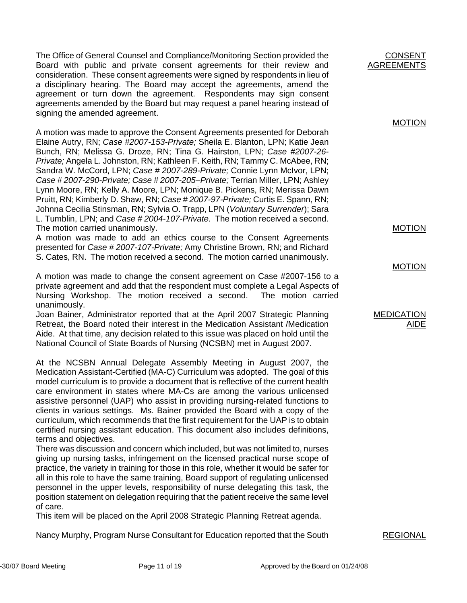The Office of General Counsel and Compliance/Monitoring Section provided the Board with public and private consent agreements for their review and consideration. These consent agreements were signed by respondents in lieu of a disciplinary hearing. The Board may accept the agreements, amend the agreement or turn down the agreement. Respondents may sign consent agreements amended by the Board but may request a panel hearing instead of signing the amended agreement.

A motion was made to approve the Consent Agreements presented for Deborah Elaine Autry, RN; *Case #2007-153-Private;* Sheila E. Blanton, LPN; Katie Jean Bunch, RN; Melissa G. Droze, RN; Tina G. Hairston, LPN; *Case #2007-26- Private;* Angela L. Johnston, RN; Kathleen F. Keith, RN; Tammy C. McAbee, RN; Sandra W. McCord, LPN; *Case # 2007-289-Private;* Connie Lynn McIvor, LPN; *Case # 2007-290-Private; Case # 2007-205–Private;* Terrian Miller, LPN; Ashley Lynn Moore, RN; Kelly A. Moore, LPN; Monique B. Pickens, RN; Merissa Dawn Pruitt, RN; Kimberly D. Shaw, RN; *Case # 2007-97-Private;* Curtis E. Spann, RN; Johnna Cecilia Stinsman, RN; Sylvia O. Trapp, LPN (*Voluntary Surrender*); Sara L. Tumblin, LPN; and *Case # 2004-107-Private.* The motion received a second. The motion carried unanimously.

A motion was made to add an ethics course to the Consent Agreements presented for *Case # 2007-107-Private;* Amy Christine Brown, RN; and Richard S. Cates, RN. The motion received a second. The motion carried unanimously.

A motion was made to change the consent agreement on Case #2007-156 to a private agreement and add that the respondent must complete a Legal Aspects of Nursing Workshop. The motion received a second. The motion carried unanimously.

Joan Bainer, Administrator reported that at the April 2007 Strategic Planning Retreat, the Board noted their interest in the Medication Assistant /Medication Aide. At that time, any decision related to this issue was placed on hold until the National Council of State Boards of Nursing (NCSBN) met in August 2007.

At the NCSBN Annual Delegate Assembly Meeting in August 2007, the Medication Assistant-Certified (MA-C) Curriculum was adopted. The goal of this model curriculum is to provide a document that is reflective of the current health care environment in states where MA-Cs are among the various unlicensed assistive personnel (UAP) who assist in providing nursing-related functions to clients in various settings. Ms. Bainer provided the Board with a copy of the curriculum, which recommends that the first requirement for the UAP is to obtain certified nursing assistant education. This document also includes definitions, terms and objectives.

There was discussion and concern which included, but was not limited to, nurses giving up nursing tasks, infringement on the licensed practical nurse scope of practice, the variety in training for those in this role, whether it would be safer for all in this role to have the same training, Board support of regulating unlicensed personnel in the upper levels, responsibility of nurse delegating this task, the position statement on delegation requiring that the patient receive the same level of care.

This item will be placed on the April 2008 Strategic Planning Retreat agenda.

Nancy Murphy, Program Nurse Consultant for Education reported that the South REGIONAL

# CONSENT AGREEMENTS

# MOTION

MOTION

# MOTION

MEDICATION AIDE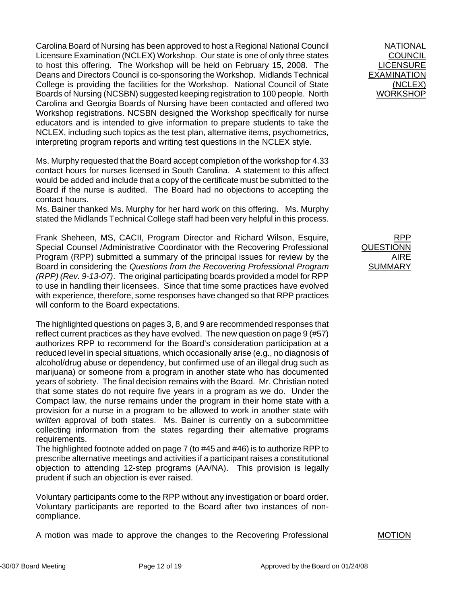Carolina Board of Nursing has been approved to host a Regional National Council Licensure Examination (NCLEX) Workshop. Our state is one of only three states to host this offering. The Workshop will be held on February 15, 2008. The Deans and Directors Council is co-sponsoring the Workshop. Midlands Technical College is providing the facilities for the Workshop. National Council of State Boards of Nursing (NCSBN) suggested keeping registration to 100 people. North Carolina and Georgia Boards of Nursing have been contacted and offered two Workshop registrations. NCSBN designed the Workshop specifically for nurse educators and is intended to give information to prepare students to take the NCLEX, including such topics as the test plan, alternative items, psychometrics, interpreting program reports and writing test questions in the NCLEX style.

Ms. Murphy requested that the Board accept completion of the workshop for 4.33 contact hours for nurses licensed in South Carolina. A statement to this affect would be added and include that a copy of the certificate must be submitted to the Board if the nurse is audited. The Board had no objections to accepting the contact hours.

Ms. Bainer thanked Ms. Murphy for her hard work on this offering. Ms. Murphy stated the Midlands Technical College staff had been very helpful in this process.

Frank Sheheen, MS, CACII, Program Director and Richard Wilson, Esquire, Special Counsel /Administrative Coordinator with the Recovering Professional Program (RPP) submitted a summary of the principal issues for review by the Board in considering the *Questions from the Recovering Professional Program (RPP) (Rev. 9-13-07)*. The original participating boards provided a model for RPP to use in handling their licensees. Since that time some practices have evolved with experience, therefore, some responses have changed so that RPP practices will conform to the Board expectations.

The highlighted questions on pages 3, 8, and 9 are recommended responses that reflect current practices as they have evolved. The new question on page 9 (#57) authorizes RPP to recommend for the Board's consideration participation at a reduced level in special situations, which occasionally arise (e.g., no diagnosis of alcohol/drug abuse or dependency, but confirmed use of an illegal drug such as marijuana) or someone from a program in another state who has documented years of sobriety. The final decision remains with the Board. Mr. Christian noted that some states do not require five years in a program as we do. Under the Compact law, the nurse remains under the program in their home state with a provision for a nurse in a program to be allowed to work in another state with *written* approval of both states. Ms. Bainer is currently on a subcommittee collecting information from the states regarding their alternative programs requirements.

The highlighted footnote added on page 7 (to #45 and #46) is to authorize RPP to prescribe alternative meetings and activities if a participant raises a constitutional objection to attending 12-step programs (AA/NA). This provision is legally prudent if such an objection is ever raised.

Voluntary participants come to the RPP without any investigation or board order. Voluntary participants are reported to the Board after two instances of noncompliance.

A motion was made to approve the changes to the Recovering Professional

# NATIONAL **COUNCIL** LICENSURE EXAMINATION (NCLEX) **WORKSHOP**

RPP **QUESTIONN** AIRE **SUMMARY**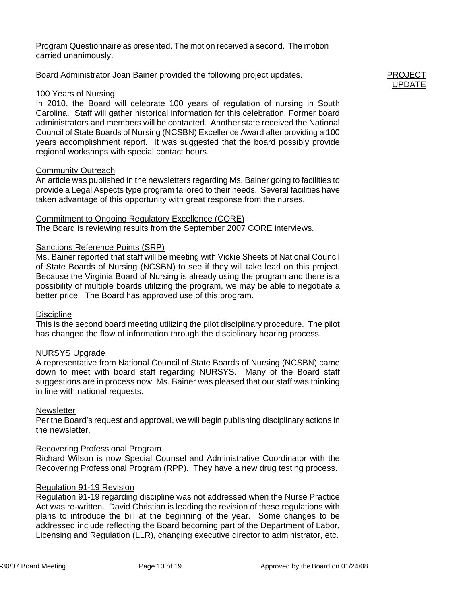Program Questionnaire as presented. The motion received a second. The motion carried unanimously.

Board Administrator Joan Bainer provided the following project updates.

### 100 Years of Nursing

In 2010, the Board will celebrate 100 years of regulation of nursing in South Carolina. Staff will gather historical information for this celebration. Former board administrators and members will be contacted. Another state received the National Council of State Boards of Nursing (NCSBN) Excellence Award after providing a 100 years accomplishment report. It was suggested that the board possibly provide regional workshops with special contact hours.

# Community Outreach

An article was published in the newsletters regarding Ms. Bainer going to facilities to provide a Legal Aspects type program tailored to their needs. Several facilities have taken advantage of this opportunity with great response from the nurses.

#### Commitment to Ongoing Regulatory Excellence (CORE)

The Board is reviewing results from the September 2007 CORE interviews.

# Sanctions Reference Points (SRP)

Ms. Bainer reported that staff will be meeting with Vickie Sheets of National Council of State Boards of Nursing (NCSBN) to see if they will take lead on this project. Because the Virginia Board of Nursing is already using the program and there is a possibility of multiple boards utilizing the program, we may be able to negotiate a better price. The Board has approved use of this program.

#### **Discipline**

This is the second board meeting utilizing the pilot disciplinary procedure. The pilot has changed the flow of information through the disciplinary hearing process.

#### NURSYS Upgrade

A representative from National Council of State Boards of Nursing (NCSBN) came down to meet with board staff regarding NURSYS. Many of the Board staff suggestions are in process now. Ms. Bainer was pleased that our staff was thinking in line with national requests.

#### **Newsletter**

Per the Board's request and approval, we will begin publishing disciplinary actions in the newsletter.

#### Recovering Professional Program

Richard Wilson is now Special Counsel and Administrative Coordinator with the Recovering Professional Program (RPP). They have a new drug testing process.

#### Regulation 91-19 Revision

Regulation 91-19 regarding discipline was not addressed when the Nurse Practice Act was re-written. David Christian is leading the revision of these regulations with plans to introduce the bill at the beginning of the year. Some changes to be addressed include reflecting the Board becoming part of the Department of Labor, Licensing and Regulation (LLR), changing executive director to administrator, etc.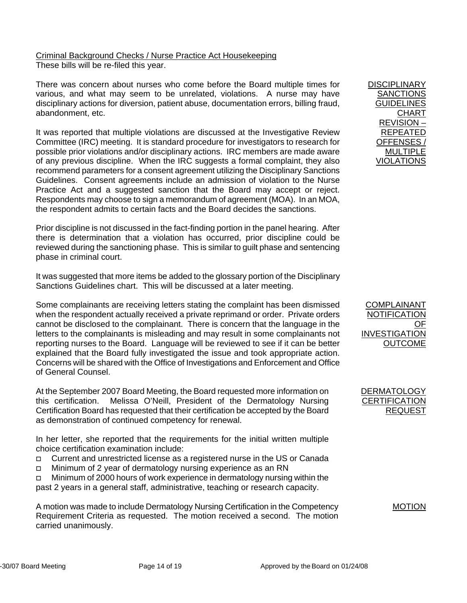Criminal Background Checks / Nurse Practice Act Housekeeping These bills will be re-filed this year.

There was concern about nurses who come before the Board multiple times for various, and what may seem to be unrelated, violations. A nurse may have disciplinary actions for diversion, patient abuse, documentation errors, billing fraud, abandonment, etc.

It was reported that multiple violations are discussed at the Investigative Review Committee (IRC) meeting. It is standard procedure for investigators to research for possible prior violations and/or disciplinary actions. IRC members are made aware of any previous discipline. When the IRC suggests a formal complaint, they also recommend parameters for a consent agreement utilizing the Disciplinary Sanctions Guidelines. Consent agreements include an admission of violation to the Nurse Practice Act and a suggested sanction that the Board may accept or reject. Respondents may choose to sign a memorandum of agreement (MOA). In an MOA, the respondent admits to certain facts and the Board decides the sanctions.

Prior discipline is not discussed in the fact-finding portion in the panel hearing. After there is determination that a violation has occurred, prior discipline could be reviewed during the sanctioning phase. This is similar to guilt phase and sentencing phase in criminal court.

It was suggested that more items be added to the glossary portion of the Disciplinary Sanctions Guidelines chart. This will be discussed at a later meeting.

Some complainants are receiving letters stating the complaint has been dismissed when the respondent actually received a private reprimand or order. Private orders cannot be disclosed to the complainant. There is concern that the language in the letters to the complainants is misleading and may result in some complainants not reporting nurses to the Board. Language will be reviewed to see if it can be better explained that the Board fully investigated the issue and took appropriate action. Concerns will be shared with the Office of Investigations and Enforcement and Office of General Counsel.

At the September 2007 Board Meeting, the Board requested more information on this certification. Melissa O'Neill, President of the Dermatology Nursing Certification Board has requested that their certification be accepted by the Board as demonstration of continued competency for renewal.

In her letter, she reported that the requirements for the initial written multiple choice certification examination include:

- Current and unrestricted license as a registered nurse in the US or Canada
- □ Minimum of 2 year of dermatology nursing experience as an RN

 Minimum of 2000 hours of work experience in dermatology nursing within the past 2 years in a general staff, administrative, teaching or research capacity.

A motion was made to include Dermatology Nursing Certification in the Competency Requirement Criteria as requested. The motion received a second. The motion carried unanimously.

**DISCIPLINARY** SANCTIONS **GUIDELINES CHART** REVISION – REPEATED OFFENSES / MULTIPLE VIOLATIONS

COMPLAINANT **NOTIFICATION** OF INVESTIGATION OUTCOME

DERMATOLOGY **CERTIFICATION** REQUEST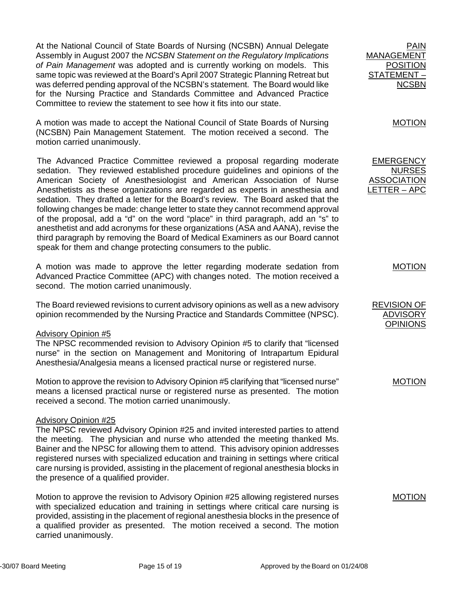At the National Council of State Boards of Nursing (NCSBN) Annual Delegate Assembly in August 2007 the *NCSBN Statement on the Regulatory Implications of Pain Management* was adopted and is currently working on models. This same topic was reviewed at the Board's April 2007 Strategic Planning Retreat but was deferred pending approval of the NCSBN's statement. The Board would like for the Nursing Practice and Standards Committee and Advanced Practice Committee to review the statement to see how it fits into our state.

A motion was made to accept the National Council of State Boards of Nursing (NCSBN) Pain Management Statement. The motion received a second. The motion carried unanimously.

The Advanced Practice Committee reviewed a proposal regarding moderate sedation. They reviewed established procedure guidelines and opinions of the American Society of Anesthesiologist and American Association of Nurse Anesthetists as these organizations are regarded as experts in anesthesia and sedation. They drafted a letter for the Board's review. The Board asked that the following changes be made: change letter to state they cannot recommend approval of the proposal, add a "d" on the word "place" in third paragraph, add an "s" to anesthetist and add acronyms for these organizations (ASA and AANA), revise the third paragraph by removing the Board of Medical Examiners as our Board cannot speak for them and change protecting consumers to the public.

A motion was made to approve the letter regarding moderate sedation from Advanced Practice Committee (APC) with changes noted. The motion received a second. The motion carried unanimously.

The Board reviewed revisions to current advisory opinions as well as a new advisory opinion recommended by the Nursing Practice and Standards Committee (NPSC).

# Advisory Opinion #5

The NPSC recommended revision to Advisory Opinion #5 to clarify that "licensed nurse" in the section on Management and Monitoring of Intrapartum Epidural Anesthesia/Analgesia means a licensed practical nurse or registered nurse.

Motion to approve the revision to Advisory Opinion #5 clarifying that "licensed nurse" means a licensed practical nurse or registered nurse as presented. The motion received a second. The motion carried unanimously.

#### Advisory Opinion #25

The NPSC reviewed Advisory Opinion #25 and invited interested parties to attend the meeting. The physician and nurse who attended the meeting thanked Ms. Bainer and the NPSC for allowing them to attend. This advisory opinion addresses registered nurses with specialized education and training in settings where critical care nursing is provided, assisting in the placement of regional anesthesia blocks in the presence of a qualified provider.

Motion to approve the revision to Advisory Opinion #25 allowing registered nurses with specialized education and training in settings where critical care nursing is provided, assisting in the placement of regional anesthesia blocks in the presence of a qualified provider as presented. The motion received a second. The motion carried unanimously.

PAIN MANAGEMENT POSITION STATEMENT – **NCSBN** 

MOTION

**EMERGENCY** NURSES ASSOCIATION LETTER – APC

MOTION

# REVISION OF ADVISORY **OPINIONS**

MOTION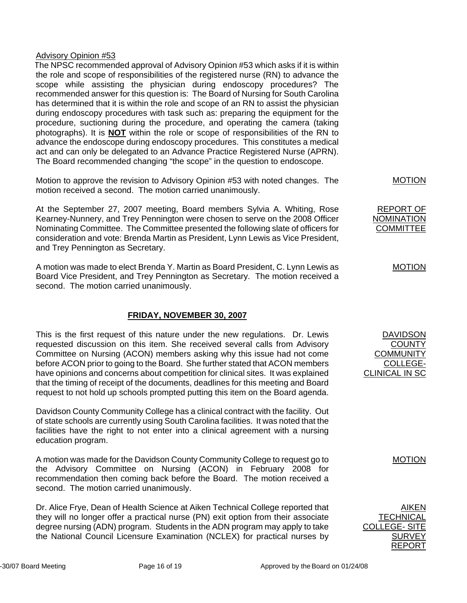The NPSC recommended approval of Advisory Opinion #53 which asks if it is within the role and scope of responsibilities of the registered nurse (RN) to advance the scope while assisting the physician during endoscopy procedures? The recommended answer for this question is: The Board of Nursing for South Carolina has determined that it is within the role and scope of an RN to assist the physician during endoscopy procedures with task such as: preparing the equipment for the procedure, suctioning during the procedure, and operating the camera (taking photographs). It is **NOT** within the role or scope of responsibilities of the RN to advance the endoscope during endoscopy procedures. This constitutes a medical act and can only be delegated to an Advance Practice Registered Nurse (APRN). The Board recommended changing "the scope" in the question to endoscope.

Motion to approve the revision to Advisory Opinion #53 with noted changes. The motion received a second. The motion carried unanimously.

At the September 27, 2007 meeting, Board members Sylvia A. Whiting, Rose Kearney-Nunnery, and Trey Pennington were chosen to serve on the 2008 Officer Nominating Committee. The Committee presented the following slate of officers for consideration and vote: Brenda Martin as President, Lynn Lewis as Vice President, and Trey Pennington as Secretary.

A motion was made to elect Brenda Y. Martin as Board President, C. Lynn Lewis as Board Vice President, and Trey Pennington as Secretary. The motion received a second. The motion carried unanimously.

# **FRIDAY, NOVEMBER 30, 2007**

This is the first request of this nature under the new regulations. Dr. Lewis requested discussion on this item. She received several calls from Advisory Committee on Nursing (ACON) members asking why this issue had not come before ACON prior to going to the Board. She further stated that ACON members have opinions and concerns about competition for clinical sites. It was explained that the timing of receipt of the documents, deadlines for this meeting and Board request to not hold up schools prompted putting this item on the Board agenda.

Davidson County Community College has a clinical contract with the facility. Out of state schools are currently using South Carolina facilities. It was noted that the facilities have the right to not enter into a clinical agreement with a nursing education program.

A motion was made for the Davidson County Community College to request go to the Advisory Committee on Nursing (ACON) in February 2008 for recommendation then coming back before the Board. The motion received a second. The motion carried unanimously.

Dr. Alice Frye, Dean of Health Science at Aiken Technical College reported that they will no longer offer a practical nurse (PN) exit option from their associate degree nursing (ADN) program. Students in the ADN program may apply to take the National Council Licensure Examination (NCLEX) for practical nurses by

MOTION

REPORT OF NOMINATION **COMMITTEE** 

MOTION

DAVIDSON **COUNT COMMUNITY** COLLEGE-CLINICAL IN SC

MOTION

AIKEN **TECHNICAL** COLLEGE- SITE SURV REPORT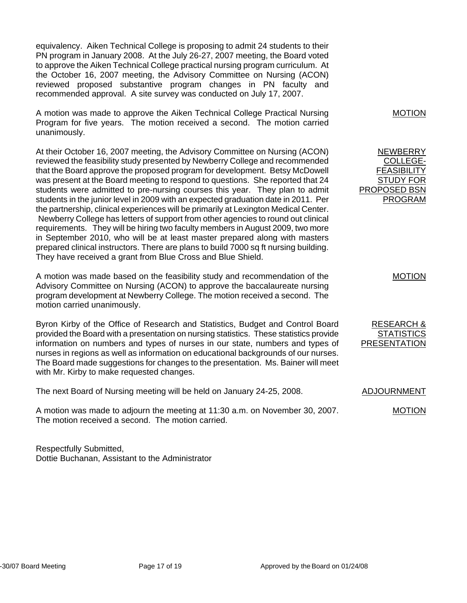equivalency. Aiken Technical College is proposing to admit 24 students to their PN program in January 2008. At the July 26-27, 2007 meeting, the Board voted to approve the Aiken Technical College practical nursing program curriculum. At the October 16, 2007 meeting, the Advisory Committee on Nursing (ACON) reviewed proposed substantive program changes in PN faculty and recommended approval. A site survey was conducted on July 17, 2007.

A motion was made to approve the Aiken Technical College Practical Nursing Program for five years. The motion received a second. The motion carried unanimously.

At their October 16, 2007 meeting, the Advisory Committee on Nursing (ACON) reviewed the feasibility study presented by Newberry College and recommended that the Board approve the proposed program for development. Betsy McDowell was present at the Board meeting to respond to questions. She reported that 24 students were admitted to pre-nursing courses this year. They plan to admit students in the junior level in 2009 with an expected graduation date in 2011. Per the partnership, clinical experiences will be primarily at Lexington Medical Center. Newberry College has letters of support from other agencies to round out clinical requirements. They will be hiring two faculty members in August 2009, two more in September 2010, who will be at least master prepared along with masters prepared clinical instructors. There are plans to build 7000 sq ft nursing building. They have received a grant from Blue Cross and Blue Shield.

A motion was made based on the feasibility study and recommendation of the Advisory Committee on Nursing (ACON) to approve the baccalaureate nursing program development at Newberry College. The motion received a second. The motion carried unanimously.

Byron Kirby of the Office of Research and Statistics, Budget and Control Board provided the Board with a presentation on nursing statistics. These statistics provide information on numbers and types of nurses in our state, numbers and types of nurses in regions as well as information on educational backgrounds of our nurses. The Board made suggestions for changes to the presentation. Ms. Bainer will meet with Mr. Kirby to make requested changes.

The next Board of Nursing meeting will be held on January 24-25, 2008. ADJOURNMENT

A motion was made to adjourn the meeting at 11:30 a.m. on November 30, 2007. The motion received a second. The motion carried.

Respectfully Submitted, Dottie Buchanan, Assistant to the Administrator MOTION

**NEWBERRY** COLLEGE-FEASIBILITY STUDY FOR PROPOSED BSN PROGRAM

MOTION

RESEARCH & **STATISTICS** PRESENTATION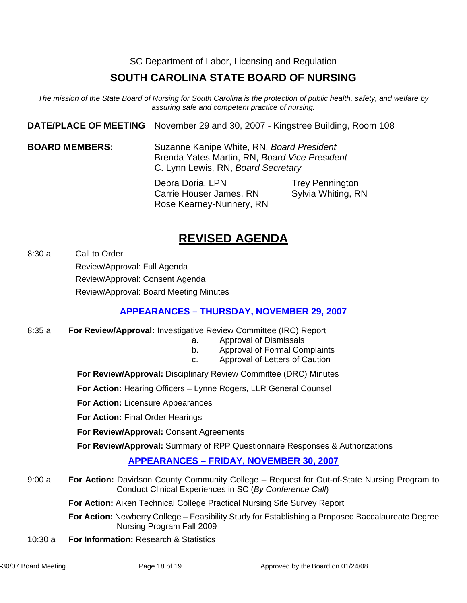SC Department of Labor, Licensing and Regulation

# **SOUTH CAROLINA STATE BOARD OF NURSING**

*The mission of the State Board of Nursing for South Carolina is the protection of public health, safety, and welfare by assuring safe and competent practice of nursing.* 

**DATE/PLACE OF MEETING** November 29 and 30, 2007 - Kingstree Building, Room 108

# **BOARD MEMBERS:** Suzanne Kanipe White, RN, *Board President* Brenda Yates Martin, RN, *Board Vice President* C. Lynn Lewis, RN, *Board Secretary*

Debra Doria, LPN Trey Pennington Carrie Houser James, RN Sylvia Whiting, RN Rose Kearney-Nunnery, RN

# **REVISED AGENDA**

8:30 a Call to Order Review/Approval: Full Agenda Review/Approval: Consent Agenda Review/Approval: Board Meeting Minutes

# **APPEARANCES – THURSDAY, NOVEMBER 29, 2007**

- 8:35 a **For Review/Approval:** Investigative Review Committee (IRC) Report
	- a. Approval of Dismissals
	- b. Approval of Formal Complaints
	- c. Approval of Letters of Caution

**For Review/Approval:** Disciplinary Review Committee (DRC) Minutes

**For Action:** Hearing Officers – Lynne Rogers, LLR General Counsel

**For Action:** Licensure Appearances

**For Action:** Final Order Hearings

**For Review/Approval:** Consent Agreements

**For Review/Approval:** Summary of RPP Questionnaire Responses & Authorizations

# **APPEARANCES – FRIDAY, NOVEMBER 30, 2007**

9:00 a **For Action:** Davidson County Community College – Request for Out-of-State Nursing Program to Conduct Clinical Experiences in SC (*By Conference Call*)

**For Action:** Aiken Technical College Practical Nursing Site Survey Report

**For Action:** Newberry College – Feasibility Study for Establishing a Proposed Baccalaureate Degree Nursing Program Fall 2009

10:30 a **For Information:** Research & Statistics